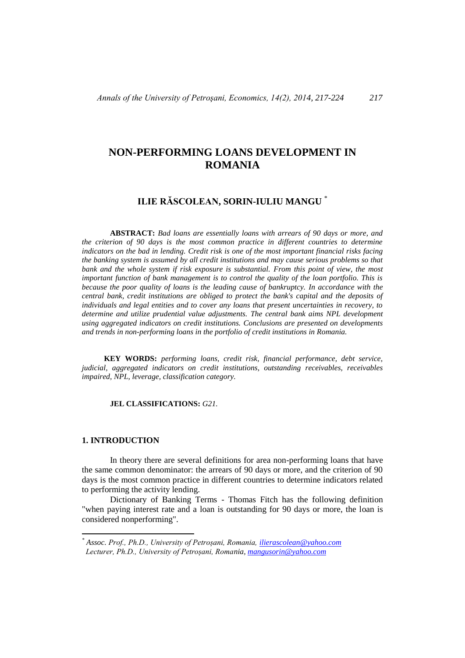# **NON-PERFORMING LOANS DEVELOPMENT IN ROMANIA**

# **ILIE RĂSCOLEAN, SORIN-IULIU MANGU** \*

**ABSTRACT:** *Bad loans are essentially loans with arrears of 90 days or more, and the criterion of 90 days is the most common practice in different countries to determine indicators on the bad in lending. Credit risk is one of the most important financial risks facing the banking system is assumed by all credit institutions and may cause serious problems so that bank and the whole system if risk exposure is substantial. From this point of view, the most important function of bank management is to control the quality of the loan portfolio. This is because the poor quality of loans is the leading cause of bankruptcy. In accordance with the central bank, credit institutions are obliged to protect the bank's capital and the deposits of individuals and legal entities and to cover any loans that present uncertainties in recovery, to determine and utilize prudential value adjustments. The central bank aims NPL development using aggregated indicators on credit institutions. Conclusions are presented on developments and trends in non-performing loans in the portfolio of credit institutions in Romania.*

**KEY WORDS:** *performing loans, credit risk, financial performance, debt service, judicial, aggregated indicators on credit institutions, outstanding receivables, receivables impaired, NPL, leverage, classification category.*

#### **JEL CLASSIFICATIONS:** *G21.*

#### **1. INTRODUCTION**

 $\overline{a}$ 

In theory there are several definitions for area non-performing loans that have the same common denominator: the arrears of 90 days or more, and the criterion of 90 days is the most common practice in different countries to determine indicators related to performing the activity lending.

Dictionary of Banking Terms - Thomas Fitch has the following definition "when paying interest rate and a loan is outstanding for 90 days or more, the loan is considered nonperforming".

*<sup>\*</sup> Assoc. Prof., Ph.D., University of Petroșani, Romania, [ilierascolean@yahoo.com](mailto:ilierascolean@yahoo.com) Lecturer, Ph.D., University of Petroșani, Romania, [mangusorin@yahoo.com](mailto:mangusorin@yahoo.com)*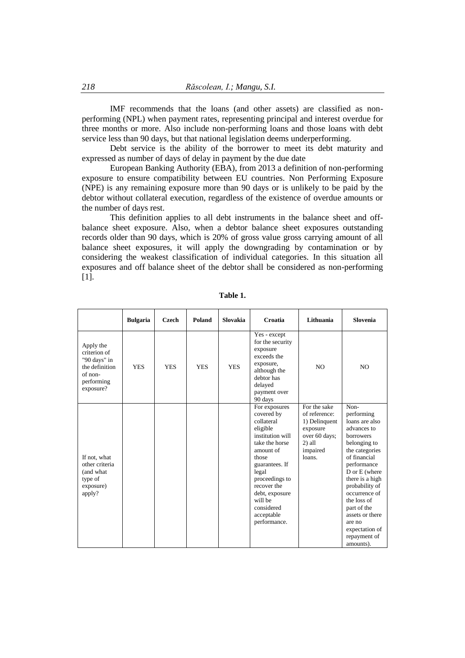IMF recommends that the loans (and other assets) are classified as nonperforming (NPL) when payment rates, representing principal and interest overdue for three months or more. Also include non-performing loans and those loans with debt service less than 90 days, but that national legislation deems underperforming.

Debt service is the ability of the borrower to meet its debt maturity and expressed as number of days of delay in payment by the due date

European Banking Authority (EBA), from 2013 a definition of non-performing exposure to ensure compatibility between EU countries. Non Performing Exposure (NPE) is any remaining exposure more than 90 days or is unlikely to be paid by the debtor without collateral execution, regardless of the existence of overdue amounts or the number of days rest.

This definition applies to all debt instruments in the balance sheet and offbalance sheet exposure. Also, when a debtor balance sheet exposures outstanding records older than 90 days, which is 20% of gross value gross carrying amount of all balance sheet exposures, it will apply the downgrading by contamination or by considering the weakest classification of individual categories. In this situation all exposures and off balance sheet of the debtor shall be considered as non-performing [1].

|                                                                                                   | <b>Bulgaria</b> | <b>Czech</b> | Poland     | Slovakia   | Croatia                                                                                                                                                                                                                                                | Lithuania                                                                                                     | <b>Slovenia</b>                                                                                                                                                                                                                                                                                                    |
|---------------------------------------------------------------------------------------------------|-----------------|--------------|------------|------------|--------------------------------------------------------------------------------------------------------------------------------------------------------------------------------------------------------------------------------------------------------|---------------------------------------------------------------------------------------------------------------|--------------------------------------------------------------------------------------------------------------------------------------------------------------------------------------------------------------------------------------------------------------------------------------------------------------------|
| Apply the<br>criterion of<br>"90 days" in<br>the definition<br>of non-<br>performing<br>exposure? | <b>YES</b>      | <b>YES</b>   | <b>YES</b> | <b>YES</b> | Yes - except<br>for the security<br>exposure<br>exceeds the<br>exposure,<br>although the<br>debtor has<br>delayed<br>payment over<br>90 days                                                                                                           | N <sub>O</sub>                                                                                                | NO.                                                                                                                                                                                                                                                                                                                |
| If not, what<br>other criteria<br>(and what<br>type of<br>exposure)<br>apply?                     |                 |              |            |            | For exposures<br>covered by<br>collateral<br>eligible<br>institution will<br>take the horse<br>amount of<br>those<br>guarantees. If<br>legal<br>proceedings to<br>recover the<br>debt, exposure<br>will be<br>considered<br>acceptable<br>performance. | For the sake<br>of reference:<br>1) Delinquent<br>exposure<br>over 60 days;<br>$2)$ all<br>impaired<br>loans. | Non-<br>performing<br>loans are also<br>advances to<br>borrowers<br>belonging to<br>the categories<br>of financial<br>performance<br>D or E (where<br>there is a high<br>probability of<br>occurrence of<br>the loss of<br>part of the<br>assets or there<br>are no<br>expectation of<br>repayment of<br>amounts). |

| 'able |  |
|-------|--|
|-------|--|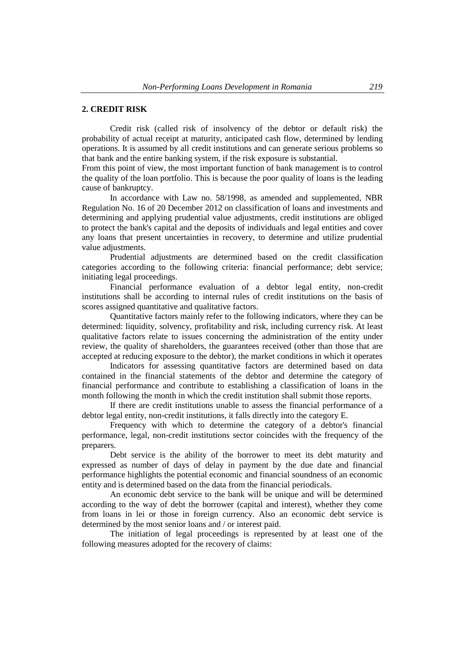#### **2. CREDIT RISK**

Credit risk (called risk of insolvency of the debtor or default risk) the probability of actual receipt at maturity, anticipated cash flow, determined by lending operations. It is assumed by all credit institutions and can generate serious problems so that bank and the entire banking system, if the risk exposure is substantial.

From this point of view, the most important function of bank management is to control the quality of the loan portfolio. This is because the poor quality of loans is the leading cause of bankruptcy.

In accordance with Law no. 58/1998, as amended and supplemented, NBR Regulation No. 16 of 20 December 2012 on classification of loans and investments and determining and applying prudential value adjustments, credit institutions are obliged to protect the bank's capital and the deposits of individuals and legal entities and cover any loans that present uncertainties in recovery, to determine and utilize prudential value adjustments.

Prudential adjustments are determined based on the credit classification categories according to the following criteria: financial performance; debt service; initiating legal proceedings.

Financial performance evaluation of a debtor legal entity, non-credit institutions shall be according to internal rules of credit institutions on the basis of scores assigned quantitative and qualitative factors.

Quantitative factors mainly refer to the following indicators, where they can be determined: liquidity, solvency, profitability and risk, including currency risk. At least qualitative factors relate to issues concerning the administration of the entity under review, the quality of shareholders, the guarantees received (other than those that are accepted at reducing exposure to the debtor), the market conditions in which it operates

Indicators for assessing quantitative factors are determined based on data contained in the financial statements of the debtor and determine the category of financial performance and contribute to establishing a classification of loans in the month following the month in which the credit institution shall submit those reports.

If there are credit institutions unable to assess the financial performance of a debtor legal entity, non-credit institutions, it falls directly into the category E.

Frequency with which to determine the category of a debtor's financial performance, legal, non-credit institutions sector coincides with the frequency of the preparers.

Debt service is the ability of the borrower to meet its debt maturity and expressed as number of days of delay in payment by the due date and financial performance highlights the potential economic and financial soundness of an economic entity and is determined based on the data from the financial periodicals.

An economic debt service to the bank will be unique and will be determined according to the way of debt the borrower (capital and interest), whether they come from loans in lei or those in foreign currency. Also an economic debt service is determined by the most senior loans and / or interest paid.

The initiation of legal proceedings is represented by at least one of the following measures adopted for the recovery of claims: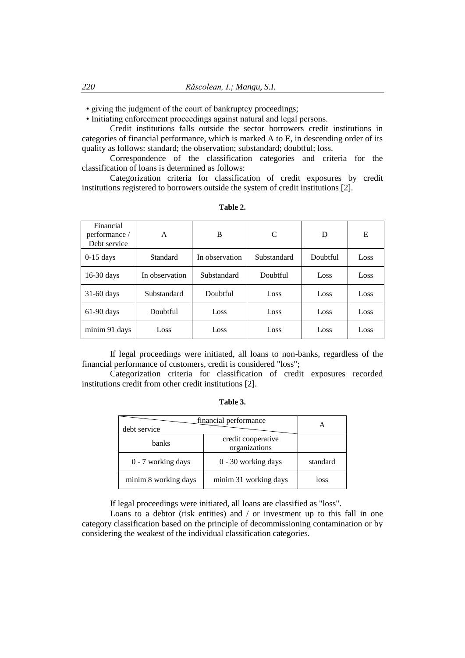• giving the judgment of the court of bankruptcy proceedings;

• Initiating enforcement proceedings against natural and legal persons.

Credit institutions falls outside the sector borrowers credit institutions in categories of financial performance, which is marked A to E, in descending order of its quality as follows: standard; the observation; substandard; doubtful; loss.

Correspondence of the classification categories and criteria for the classification of loans is determined as follows:

Categorization criteria for classification of credit exposures by credit institutions registered to borrowers outside the system of credit institutions [2].

| Financial<br>performance /<br>Debt service | A              | B              | C           | D        | E    |
|--------------------------------------------|----------------|----------------|-------------|----------|------|
| $0-15$ days                                | Standard       | In observation | Substandard | Doubtful | Loss |
| $16-30$ days                               | In observation | Substandard    | Doubtful    | Loss     | Loss |
| $31-60$ days                               | Substandard    | Doubtful       | Loss        | Loss     | Loss |
| $61-90$ days                               | Doubtful       | Loss           | Loss        | Loss     | Loss |
| minim 91 days                              | Loss           | Loss           | Loss        | Loss     | Loss |

**Table 2.**

If legal proceedings were initiated, all loans to non-banks, regardless of the financial performance of customers, credit is considered "loss";

Categorization criteria for classification of credit exposures recorded institutions credit from other credit institutions [2].

| debt service         | financial performance               |          |
|----------------------|-------------------------------------|----------|
| banks                | credit cooperative<br>organizations |          |
| $0 - 7$ working days | 0 - 30 working days                 | standard |
| minim 8 working days | minim 31 working days               | loss     |

**Table 3.**

If legal proceedings were initiated, all loans are classified as "loss".

Loans to a debtor (risk entities) and / or investment up to this fall in one category classification based on the principle of decommissioning contamination or by considering the weakest of the individual classification categories.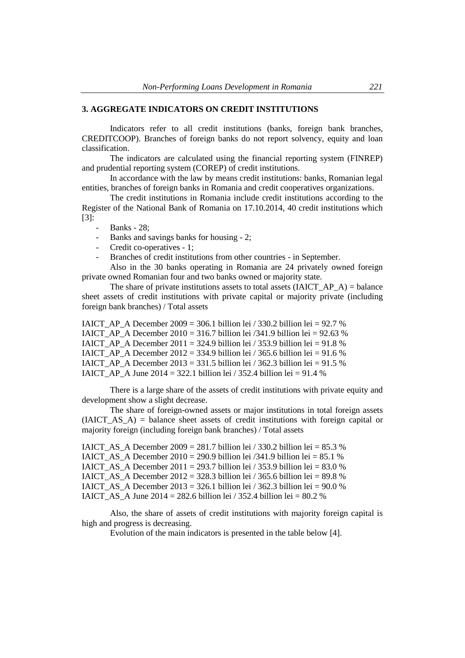# **3. AGGREGATE INDICATORS ON CREDIT INSTITUTIONS**

Indicators refer to all credit institutions (banks, foreign bank branches, CREDITCOOP). Branches of foreign banks do not report solvency, equity and loan classification.

The indicators are calculated using the financial reporting system (FINREP) and prudential reporting system (COREP) of credit institutions.

In accordance with the law by means credit institutions: banks, Romanian legal entities, branches of foreign banks in Romania and credit cooperatives organizations.

The credit institutions in Romania include credit institutions according to the Register of the National Bank of Romania on 17.10.2014, 40 credit institutions which [3]:

- Banks 28;
- Banks and savings banks for housing 2;
- Credit co-operatives 1;
- Branches of credit institutions from other countries in September.

Also in the 30 banks operating in Romania are 24 privately owned foreign private owned Romanian four and two banks owned or majority state.

The share of private institutions assets to total assets ( $I\textrm{AICT}$  AP  $A$ ) = balance sheet assets of credit institutions with private capital or majority private (including foreign bank branches) / Total assets

IAICT AP A December 2009 = 306.1 billion lei / 330.2 billion lei = 92.7 % IAICT AP A December 2010 = 316.7 billion lei  $/341.9$  billion lei = 92.63 % IAICT\_AP\_A December 2011 = 324.9 billion lei / 353.9 billion lei = 91.8 % IAICT AP A December 2012 = 334.9 billion lei / 365.6 billion lei = 91.6 % IAICT\_AP\_A December 2013 = 331.5 billion lei / 362.3 billion lei = 91.5 % IAICT\_AP\_A June 2014 = 322.1 billion lei / 352.4 billion lei = 91.4 %

There is a large share of the assets of credit institutions with private equity and development show a slight decrease.

The share of foreign-owned assets or major institutions in total foreign assets  $(IAICT AS A) = balance sheet assets of credit institutions with foreign capital or$ majority foreign (including foreign bank branches) / Total assets

IAICT AS A December 2009 = 281.7 billion lei / 330.2 billion lei = 85.3 % IAICT AS A December 2010 = 290.9 billion lei  $/341.9$  billion lei = 85.1 % IAICT AS A December 2011 = 293.7 billion lei / 353.9 billion lei = 83.0 % IAICT AS A December 2012 = 328.3 billion lei / 365.6 billion lei = 89.8 % IAICT AS A December 2013 = 326.1 billion lei / 362.3 billion lei = 90.0 % IAICT\_AS\_A June 2014 = 282.6 billion lei / 352.4 billion lei = 80.2 %

Also, the share of assets of credit institutions with majority foreign capital is high and progress is decreasing.

Evolution of the main indicators is presented in the table below [4].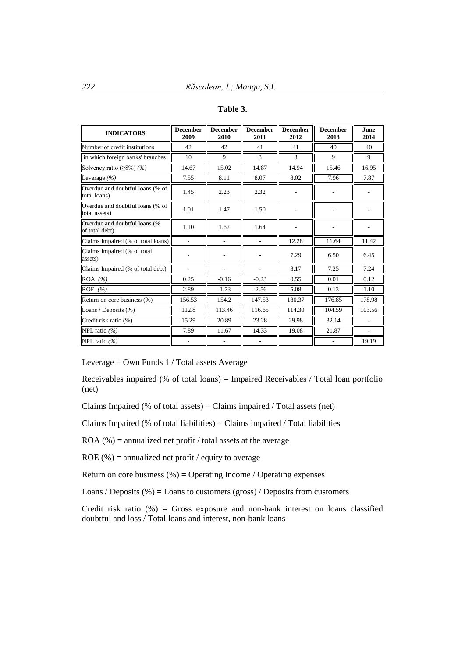| <b>INDICATORS</b>                                 | <b>December</b><br>2009 | <b>December</b><br>2010 | <b>December</b><br>2011 | <b>December</b><br>2012 | <b>December</b><br>2013 | June<br>2014 |
|---------------------------------------------------|-------------------------|-------------------------|-------------------------|-------------------------|-------------------------|--------------|
| Number of credit institutions                     | 42                      | 42                      | 41                      | 41                      | 40                      | 40           |
| in which foreign banks' branches                  | 10                      | 9                       | 8                       | 8                       | 9                       | 9            |
| Solvency ratio $(\geq 8\%)$ (%)                   | 14.67                   | 15.02                   | 14.87                   | 14.94                   | 15.46                   | 16.95        |
| Leverage $(\% )$                                  | 7.55                    | 8.11                    | 8.07                    | 8.02                    | 7.96                    | 7.87         |
| Overdue and doubtful loans (% of<br>total loans)  | 1.45                    | 2.23                    | 2.32                    |                         |                         |              |
| Overdue and doubtful loans (% of<br>total assets) | 1.01                    | 1.47                    | 1.50                    |                         |                         |              |
| Overdue and doubtful loans (%)<br>of total debt)  | 1.10                    | 1.62                    | 1.64                    |                         |                         |              |
| Claims Impaired (% of total loans)                | $\overline{a}$          |                         |                         | 12.28                   | 11.64                   | 11.42        |
| Claims Impaired (% of total<br>assets)            |                         |                         |                         | 7.29                    | 6.50                    | 6.45         |
| Claims Impaired (% of total debt)                 | L,                      |                         |                         | 8.17                    | 7.25                    | 7.24         |
| $ROA$ $(%)$                                       | 0.25                    | $-0.16$                 | $-0.23$                 | 0.55                    | 0.01                    | 0.12         |
| ROE $(%$                                          | 2.89                    | $-1.73$                 | $-2.56$                 | 5.08                    | 0.13                    | 1.10         |
| Return on core business (%)                       | 156.53                  | 154.2                   | 147.53                  | 180.37                  | 176.85                  | 178.98       |
| Loans / Deposits (%)                              | 112.8                   | 113.46                  | 116.65                  | 114.30                  | 104.59                  | 103.56       |
| Credit risk ratio (%)                             | 15.29                   | 20.89                   | 23.28                   | 29.98                   | 32.14                   |              |
| NPL ratio $(%$                                    | 7.89                    | 11.67                   | 14.33                   | 19.08                   | 21.87                   |              |
| NPL ratio $(%$                                    | $\overline{a}$          |                         |                         |                         |                         | 19.19        |

# **Table 3.**

Leverage = Own Funds 1 / Total assets Average

Receivables impaired (% of total loans) = Impaired Receivables / Total loan portfolio (net)

Claims Impaired (% of total assets) = Claims impaired  $/$  Total assets (net)

Claims Impaired (% of total liabilities) = Claims impaired  $/$  Total liabilities

 $ROA$  (%) = annualized net profit / total assets at the average

ROE  $(\%)$  = annualized net profit / equity to average

Return on core business  $(\%)$  = Operating Income / Operating expenses

Loans / Deposits  $(\% )$  = Loans to customers (gross) / Deposits from customers

Credit risk ratio  $(\%)$  = Gross exposure and non-bank interest on loans classified doubtful and loss / Total loans and interest, non-bank loans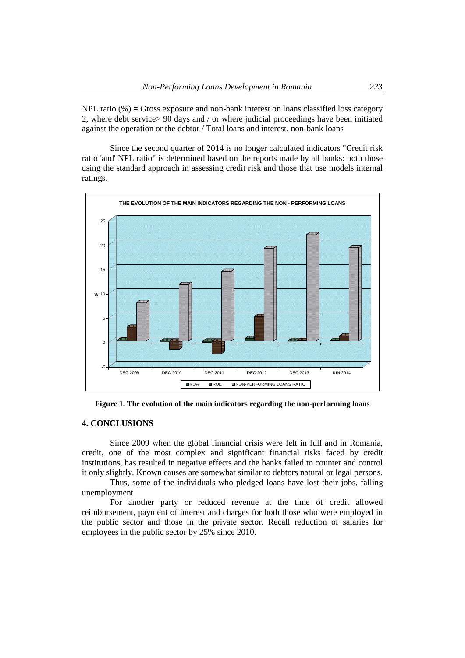$NPL$  ratio (%) = Gross exposure and non-bank interest on loans classified loss category 2, where debt service> 90 days and / or where judicial proceedings have been initiated against the operation or the debtor / Total loans and interest, non-bank loans

Since the second quarter of 2014 is no longer calculated indicators "Credit risk ratio 'and' NPL ratio" is determined based on the reports made by all banks: both those using the standard approach in assessing credit risk and those that use models internal ratings.



**Figure 1. The evolution of the main indicators regarding the non-performing loans**

## **4. CONCLUSIONS**

Since 2009 when the global financial crisis were felt in full and in Romania, credit, one of the most complex and significant financial risks faced by credit institutions, has resulted in negative effects and the banks failed to counter and control it only slightly. Known causes are somewhat similar to debtors natural or legal persons.

Thus, some of the individuals who pledged loans have lost their jobs, falling unemployment

For another party or reduced revenue at the time of credit allowed reimbursement, payment of interest and charges for both those who were employed in the public sector and those in the private sector. Recall reduction of salaries for employees in the public sector by 25% since 2010.